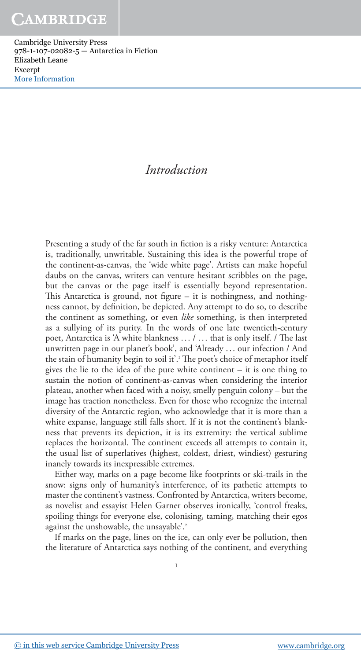### *Introduction*

Presenting a study of the far south in fiction is a risky venture: Antarctica is, traditionally, unwritable. Sustaining this idea is the powerful trope of the continent-as-canvas, the 'wide white page'. Artists can make hopeful daubs on the canvas, writers can venture hesitant scribbles on the page, but the canvas or the page itself is essentially beyond representation. This Antarctica is ground, not figure  $-$  it is nothingness, and nothingness cannot, by definition, be depicted. Any attempt to do so, to describe the continent as something, or even *like* something, is then interpreted as a sullying of its purity. In the words of one late twentieth-century poet, Antarctica is 'A white blankness ... / ... that is only itself. / The last unwritten page in our planet's book', and 'Already ... our infection / And the stain of humanity begin to soil it'.<sup>1</sup> The poet's choice of metaphor itself gives the lie to the idea of the pure white continent – it is one thing to sustain the notion of continent-as-canvas when considering the interior plateau, another when faced with a noisy, smelly penguin colony – but the image has traction nonetheless. Even for those who recognize the internal diversity of the Antarctic region, who acknowledge that it is more than a white expanse, language still falls short. If it is not the continent's blankness that prevents its depiction, it is its extremity: the vertical sublime replaces the horizontal. The continent exceeds all attempts to contain it, the usual list of superlatives (highest, coldest, driest, windiest) gesturing inanely towards its inexpressible extremes.

 Either way, marks on a page become like footprints or ski-trails in the snow: signs only of humanity's interference, of its pathetic attempts to master the continent's vastness. Confronted by Antarctica, writers become, as novelist and essayist Helen Garner observes ironically, 'control freaks, spoiling things for everyone else, colonising, taming, matching their egos against the unshowable, the unsayable'.<sup>2</sup>

 If marks on the page, lines on the ice, can only ever be pollution, then the literature of Antarctica says nothing of the continent, and everything

1

[© in this web service Cambridge University Press](www.cambridge.org) www.cambridge.org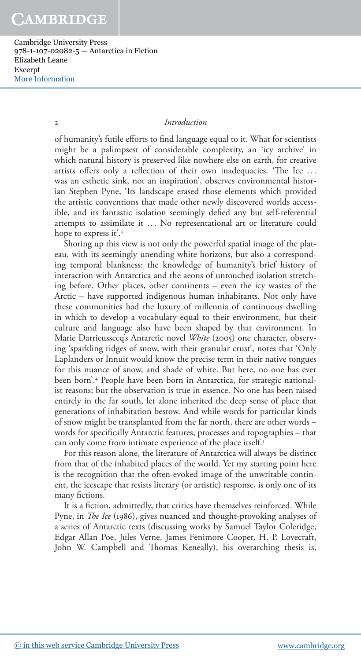Cambridge University Press 978-1-107-02082-5 — Antarctica in Fiction Elizabeth Leane Excerpt [More Information](www.cambridge.org/9781107020825)

### 2 *Introduction*

of humanity's futile efforts to find language equal to it. What for scientists might be a palimpsest of considerable complexity, an 'icy archive' in which natural history is preserved like nowhere else on earth, for creative artists offers only a reflection of their own inadequacies. 'The Ice ... was an esthetic sink, not an inspiration', observes environmental historian Stephen Pyne, 'Its landscape erased those elements which provided the artistic conventions that made other newly discovered worlds accessible, and its fantastic isolation seemingly defied any but self-referential attempts to assimilate it ... No representational art or literature could hope to express it'.<sup>3</sup>

 Shoring up this view is not only the powerful spatial image of the plateau, with its seemingly unending white horizons, but also a corresponding temporal blankness: the knowledge of humanity's brief history of interaction with Antarctica and the aeons of untouched isolation stretching before. Other places, other continents – even the icy wastes of the Arctic – have supported indigenous human inhabitants. Not only have these communities had the luxury of millennia of continuous dwelling in which to develop a vocabulary equal to their environment, but their culture and language also have been shaped by that environment. In Marie Darrieussecq's Antarctic novel White (2005) one character, observing 'sparkling ridges of snow, with their granular crust', notes that 'Only Laplanders or Innuit would know the precise term in their native tongues for this nuance of snow, and shade of white. But here, no one has ever been born'.<sup>4</sup> People have been born in Antarctica, for strategic nationalist reasons; but the observation is true in essence. No one has been raised entirely in the far south, let alone inherited the deep sense of place that generations of inhabitation bestow. And while words for particular kinds of snow might be transplanted from the far north, there are other words – words for specifically Antarctic features, processes and topographies – that can only come from intimate experience of the place itself.<sup>5</sup>

 For this reason alone, the literature of Antarctica will always be distinct from that of the inhabited places of the world. Yet my starting point here is the recognition that the often-evoked image of the unwritable continent, the icescape that resists literary (or artistic) response, is only one of its many fictions.

It is a fiction, admittedly, that critics have themselves reinforced. While Pyne, in *The Ice* (1986), gives nuanced and thought-provoking analyses of a series of Antarctic texts (discussing works by Samuel Taylor Coleridge, Edgar Allan Poe, Jules Verne, James Fenimore Cooper, H. P. Lovecraft, John W. Campbell and Thomas Keneally), his overarching thesis is,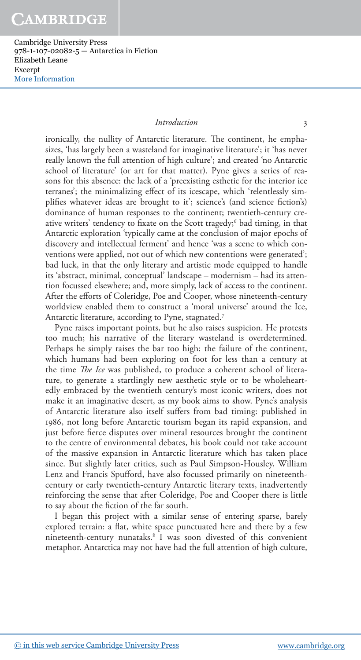Cambridge University Press 978-1-107-02082-5 — Antarctica in Fiction Elizabeth Leane Excerpt [More Information](www.cambridge.org/9781107020825)

#### *Introduction* 3

ironically, the nullity of Antarctic literature. The continent, he emphasizes, 'has largely been a wasteland for imaginative literature'; it 'has never really known the full attention of high culture'; and created 'no Antarctic school of literature' (or art for that matter). Pyne gives a series of reasons for this absence: the lack of a 'preexisting esthetic for the interior ice terranes'; the minimalizing effect of its icescape, which 'relentlessly simplifies whatever ideas are brought to it'; science's (and science fiction's) dominance of human responses to the continent; twentieth-century creative writers' tendency to fixate on the Scott tragedy;<sup>6</sup> bad timing, in that Antarctic exploration 'typically came at the conclusion of major epochs of discovery and intellectual ferment' and hence 'was a scene to which conventions were applied, not out of which new contentions were generated'; bad luck, in that the only literary and artistic mode equipped to handle its 'abstract, minimal, conceptual' landscape – modernism – had its attention focussed elsewhere; and, more simply, lack of access to the continent. After the efforts of Coleridge, Poe and Cooper, whose nineteenth-century worldview enabled them to construct a 'moral universe' around the Ice, Antarctic literature, according to Pyne, stagnated.<sup>7</sup>

 Pyne raises important points, but he also raises suspicion. He protests too much; his narrative of the literary wasteland is overdetermined. Perhaps he simply raises the bar too high: the failure of the continent, which humans had been exploring on foot for less than a century at the time *The Ice* was published, to produce a coherent school of literature, to generate a startlingly new aesthetic style or to be wholeheartedly embraced by the twentieth century's most iconic writers, does not make it an imaginative desert, as my book aims to show. Pyne's analysis of Antarctic literature also itself suffers from bad timing: published in 1986, not long before Antarctic tourism began its rapid expansion, and just before fierce disputes over mineral resources brought the continent to the centre of environmental debates, his book could not take account of the massive expansion in Antarctic literature which has taken place since. But slightly later critics, such as Paul Simpson-Housley, William Lenz and Francis Spufford, have also focussed primarily on nineteenthcentury or early twentieth-century Antarctic literary texts, inadvertently reinforcing the sense that after Coleridge, Poe and Cooper there is little to say about the fiction of the far south.

 I began this project with a similar sense of entering sparse, barely explored terrain: a flat, white space punctuated here and there by a few nineteenth-century nunataks. <sup>8</sup> I was soon divested of this convenient metaphor. Antarctica may not have had the full attention of high culture,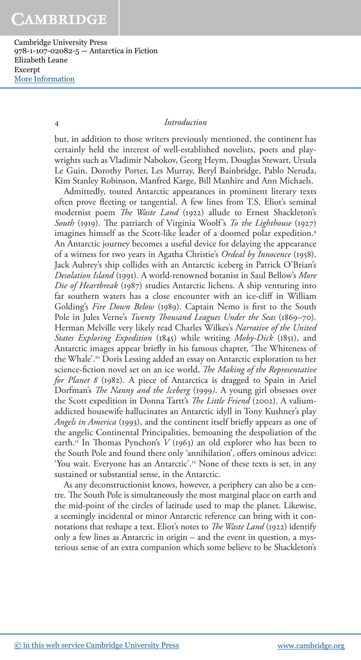#### 4 *Introduction*

but, in addition to those writers previously mentioned, the continent has certainly held the interest of well-established novelists, poets and playwrights such as Vladimir Nabokov, Georg Heym, Douglas Stewart, Ursula Le Guin, Dorothy Porter, Les Murray, Beryl Bainbridge, Pablo Neruda, Kim Stanley Robinson, Manfred Karge, Bill Manhire and Ann Michaels.

 Admittedly, touted Antarctic appearances in prominent literary texts often prove fleeting or tangential. A few lines from T.S. Eliot's seminal modernist poem *The Waste Land* (1922) allude to Ernest Shackleton's *South* (1919). The patriarch of Virginia Woolf's *To the Lighthouse* (1927) imagines himself as the Scott-like leader of a doomed polar expedition.<sup>9</sup> An Antarctic journey becomes a useful device for delaying the appearance of a witness for two years in Agatha Christie's *Ordeal by Innocence* ( 1958 ). Jack Aubrey's ship collides with an Antarctic iceberg in Patrick O'Brian's *Desolation Island* (1991). A world-renowned botanist in Saul Bellow's More *Die of Heartbreak* (1987) studies Antarctic lichens. A ship venturing into far southern waters has a close encounter with an ice-cliff in William Golding's Fire Down Below (1989). Captain Nemo is first to the South Pole in Jules Verne's *Twenty Thousand Leagues Under the Seas* (1869–70). Herman Melville very likely read Charles Wilkes's *Narrative of the United States Exploring Expedition* (1845) while writing *Moby-Dick* (1851), and Antarctic images appear briefly in his famous chapter, 'The Whiteness of the Whale'.<sup>10</sup> Doris Lessing added an essay on Antarctic exploration to her science-fiction novel set on an ice world, *The Making of the Representative for Planet 8* (1982). A piece of Antarctica is dragged to Spain in Ariel Dorfman's *The Nanny and the Iceberg* (1999). A young girl obsesses over the Scott expedition in Donna Tartt's *The Little Friend* (2002). A valiumaddicted housewife hallucinates an Antarctic idyll in Tony Kushner's play *Angels in America* (1993), and the continent itself briefly appears as one of the angelic Continental Principalities, bemoaning the despoliation of the earth.<sup>II</sup> In Thomas Pynchon's  $V$  (1963) an old explorer who has been to the South Pole and found there only 'annihilation', offers ominous advice: 'You wait. Everyone has an Antarctic'. <sup>12</sup> None of these texts is set, in any sustained or substantial sense, in the Antarctic.

 As any deconstructionist knows, however, a periphery can also be a centre. The South Pole is simultaneously the most marginal place on earth and the mid-point of the circles of latitude used to map the planet. Likewise, a seemingly incidental or minor Antarctic reference can bring with it connotations that reshape a text. Eliot's notes to *The Waste Land* (1922) identify only a few lines as Antarctic in origin – and the event in question, a mysterious sense of an extra companion which some believe to be Shackleton's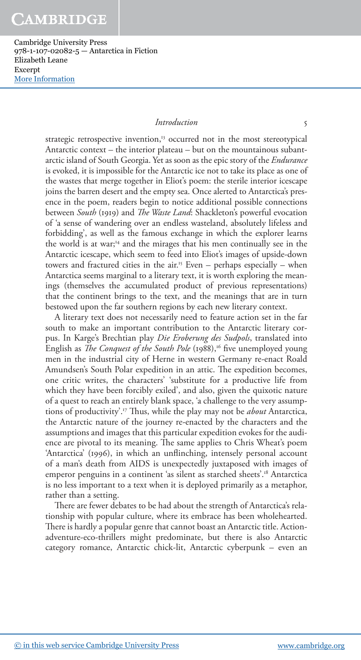Cambridge University Press 978-1-107-02082-5 — Antarctica in Fiction Elizabeth Leane Excerpt [More Information](www.cambridge.org/9781107020825)

#### *Introduction* 5

strategic retrospective invention,<sup>13</sup> occurred not in the most stereotypical Antarctic context – the interior plateau – but on the mountainous subantarctic island of South Georgia. Yet as soon as the epic story of the *Endurance* is evoked, it is impossible for the Antarctic ice not to take its place as one of the wastes that merge together in Eliot's poem: the sterile interior icescape joins the barren desert and the empty sea. Once alerted to Antarctica's presence in the poem, readers begin to notice additional possible connections between *South* (1919) and *The Waste Land*: Shackleton's powerful evocation of 'a sense of wandering over an endless wasteland, absolutely lifeless and forbidding', as well as the famous exchange in which the explorer learns the world is at war; <sup>14</sup> and the mirages that his men continually see in the Antarctic icescape, which seem to feed into Eliot's images of upside-down towers and fractured cities in the air.<sup>15</sup> Even – perhaps especially – when Antarctica seems marginal to a literary text, it is worth exploring the meanings (themselves the accumulated product of previous representations) that the continent brings to the text, and the meanings that are in turn bestowed upon the far southern regions by each new literary context.

 A literary text does not necessarily need to feature action set in the far south to make an important contribution to the Antarctic literary corpus. In Karge's Brechtian play *Die Eroberung des Sudpols* , translated into English as *The Conquest of the South Pole* (1988),<sup>16</sup> five unemployed young men in the industrial city of Herne in western Germany re-enact Roald Amundsen's South Polar expedition in an attic. The expedition becomes, one critic writes, the characters' 'substitute for a productive life from which they have been forcibly exiled', and also, given the quixotic nature of a quest to reach an entirely blank space, 'a challenge to the very assumptions of productivity<sup>'.17</sup> Thus, while the play may not be *about* Antarctica, the Antarctic nature of the journey re-enacted by the characters and the assumptions and images that this particular expedition evokes for the audience are pivotal to its meaning. The same applies to Chris Wheat's poem 'Antarctica' (1996), in which an unflinching, intensely personal account of a man's death from AIDS is unexpectedly juxtaposed with images of emperor penguins in a continent 'as silent as starched sheets'. <sup>18</sup> Antarctica is no less important to a text when it is deployed primarily as a metaphor, rather than a setting.

There are fewer debates to be had about the strength of Antarctica's relationship with popular culture, where its embrace has been wholehearted. There is hardly a popular genre that cannot boast an Antarctic title. Actionadventure-eco-thrillers might predominate, but there is also Antarctic category romance, Antarctic chick-lit, Antarctic cyberpunk – even an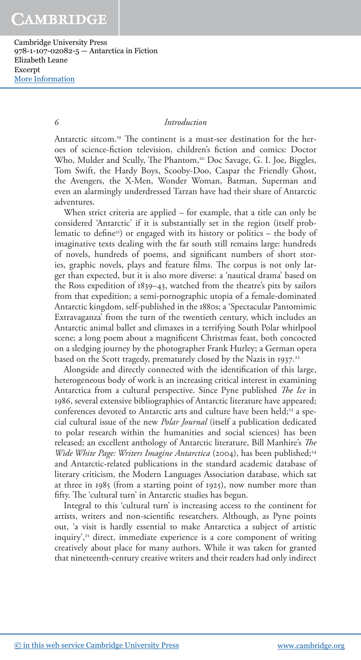#### 6 *Introduction*

Antarctic sitcom.<sup>19</sup> The continent is a must-see destination for the heroes of science-fiction television, children's fiction and comics: Doctor Who, Mulder and Scully, The Phantom,<sup>20</sup> Doc Savage, G. I. Joe, Biggles, Tom Swift, the Hardy Boys, Scooby-Doo, Caspar the Friendly Ghost, the Avengers, the X-Men, Wonder Woman, Batman, Superman and even an alarmingly underdressed Tarzan have had their share of Antarctic adventures.

 When strict criteria are applied – for example, that a title can only be considered 'Antarctic' if it is substantially set in the region (itself problematic to define<sup> $21$ </sup>) or engaged with its history or politics – the body of imaginative texts dealing with the far south still remains large: hundreds of novels, hundreds of poems, and significant numbers of short stories, graphic novels, plays and feature films. The corpus is not only larger than expected, but it is also more diverse: a 'nautical drama' based on the Ross expedition of 1839–43, watched from the theatre's pits by sailors from that expedition; a semi-pornographic utopia of a female-dominated Antarctic kingdom, self-published in the 1880s; a 'Spectacular Pantomimic Extravaganza' from the turn of the twentieth century, which includes an Antarctic animal ballet and climaxes in a terrifying South Polar whirlpool scene; a long poem about a magnificent Christmas feast, both concocted on a sledging journey by the photographer Frank Hurley; a German opera based on the Scott tragedy, prematurely closed by the Nazis in 1937.<sup>22</sup>

Alongside and directly connected with the identification of this large, heterogeneous body of work is an increasing critical interest in examining Antarctica from a cultural perspective. Since Pyne published *The Ice* in 1986 , several extensive bibliographies of Antarctic literature have appeared; conferences devoted to Antarctic arts and culture have been held;<sup>23</sup> a special cultural issue of the new *Polar Journal* (itself a publication dedicated to polar research within the humanities and social sciences) has been released; an excellent anthology of Antarctic literature, Bill Manhire's *The Wide White Page: Writers Imagine Antarctica* (2004), has been published;<sup>24</sup> and Antarctic-related publications in the standard academic database of literary criticism, the Modern Languages Association database, which sat at three in 1985 (from a starting point of 1925), now number more than fifty. The 'cultural turn' in Antarctic studies has begun.

 Integral to this 'cultural turn' is increasing access to the continent for artists, writers and non-scientific researchers. Although, as Pyne points out, 'a visit is hardly essential to make Antarctica a subject of artistic inquiry',<sup>25</sup> direct, immediate experience is a core component of writing creatively about place for many authors. While it was taken for granted that nineteenth-century creative writers and their readers had only indirect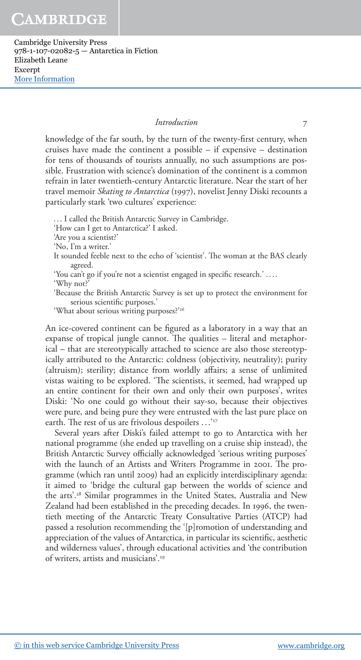### *Introduction* 7

knowledge of the far south, by the turn of the twenty-first century, when cruises have made the continent a possible – if expensive – destination for tens of thousands of tourists annually, no such assumptions are possible. Frustration with science's domination of the continent is a common refrain in later twentieth-century Antarctic literature. Near the start of her travel memoir *Skating to Antarctica* (1997), novelist Jenny Diski recounts a particularly stark 'two cultures' experience:

. . . I called the British Antarctic Survey in Cambridge.

'How can I get to Antarctica?' I asked.

'Are you a scientist?'

'No, I'm a writer.'

- It sounded feeble next to the echo of 'scientist'. The woman at the BAS clearly agreed.
- 'You can't go if you're not a scientist engaged in specific research.' ....

'Why not?'

 'Because the British Antarctic Survey is set up to protect the environment for serious scientific purposes.'

'What about serious writing purposes?'<sup>26</sup>

An ice-covered continent can be figured as a laboratory in a way that an expanse of tropical jungle cannot. The qualities – literal and metaphorical – that are stereotypically attached to science are also those stereotypically attributed to the Antarctic: coldness (objectivity, neutrality); purity (altruism); sterility; distance from worldly affairs; a sense of unlimited vistas waiting to be explored. 'The scientists, it seemed, had wrapped up an entire continent for their own and only their own purposes', writes Diski: 'No one could go without their say-so, because their objectives were pure, and being pure they were entrusted with the last pure place on earth. The rest of us are frivolous despoilers ...'<sup>27</sup>

 Several years after Diski's failed attempt to go to Antarctica with her national programme (she ended up travelling on a cruise ship instead), the British Antarctic Survey officially acknowledged 'serious writing purposes' with the launch of an Artists and Writers Programme in 2001. The programme (which ran until 2009) had an explicitly interdisciplinary agenda: it aimed to 'bridge the cultural gap between the worlds of science and the arts'.<sup>28</sup> Similar programmes in the United States, Australia and New Zealand had been established in the preceding decades. In 1996, the twentieth meeting of the Antarctic Treaty Consultative Parties (ATCP) had passed a resolution recommending the '[p]romotion of understanding and appreciation of the values of Antarctica, in particular its scientific, aesthetic and wilderness values', through educational activities and 'the contribution of writers, artists and musicians'. 29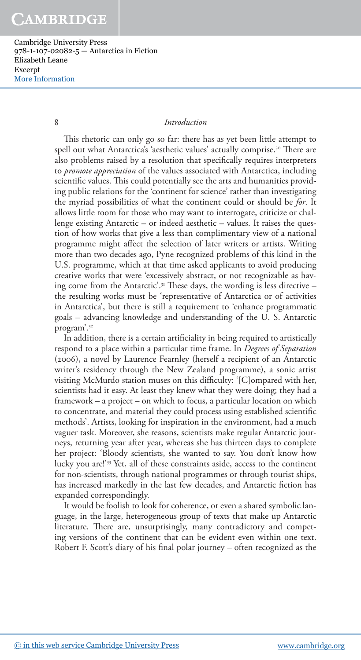Cambridge University Press 978-1-107-02082-5 — Antarctica in Fiction Elizabeth Leane Excerpt [More Information](www.cambridge.org/9781107020825)

#### 8 *Introduction*

This rhetoric can only go so far: there has as yet been little attempt to spell out what Antarctica's 'aesthetic values' actually comprise.<sup>30</sup> There are also problems raised by a resolution that specifically requires interpreters to *promote appreciation* of the values associated with Antarctica, including scientific values. This could potentially see the arts and humanities providing public relations for the 'continent for science' rather than investigating the myriad possibilities of what the continent could or should be *for* . It allows little room for those who may want to interrogate, criticize or challenge existing Antarctic – or indeed aesthetic – values. It raises the question of how works that give a less than complimentary view of a national programme might affect the selection of later writers or artists. Writing more than two decades ago, Pyne recognized problems of this kind in the U.S. programme, which at that time asked applicants to avoid producing creative works that were 'excessively abstract, or not recognizable as having come from the Antarctic'.<sup>31</sup> These days, the wording is less directive – the resulting works must be 'representative of Antarctica or of activities in Antarctica', but there is still a requirement to 'enhance programmatic goals – advancing knowledge and understanding of the U. S. Antarctic program<sup>'</sup>.<sup>32</sup>

In addition, there is a certain artificiality in being required to artistically respond to a place within a particular time frame. In *Degrees of Separation* (2006), a novel by Laurence Fearnley (herself a recipient of an Antarctic writer's residency through the New Zealand programme), a sonic artist visiting McMurdo station muses on this difficulty: '[C]ompared with her, scientists had it easy. At least they knew what they were doing; they had a framework – a project – on which to focus, a particular location on which to concentrate, and material they could process using established scientific methods'. Artists, looking for inspiration in the environment, had a much vaguer task. Moreover, she reasons, scientists make regular Antarctic journeys, returning year after year, whereas she has thirteen days to complete her project: 'Bloody scientists, she wanted to say. You don't know how lucky you are!'<sup>33</sup> Yet, all of these constraints aside, access to the continent for non-scientists, through national programmes or through tourist ships, has increased markedly in the last few decades, and Antarctic fiction has expanded correspondingly.

 It would be foolish to look for coherence, or even a shared symbolic language, in the large, heterogeneous group of texts that make up Antarctic literature. There are, unsurprisingly, many contradictory and competing versions of the continent that can be evident even within one text. Robert F. Scott's diary of his final polar journey – often recognized as the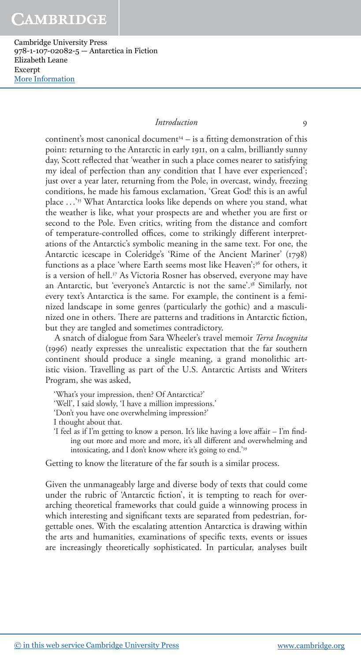Cambridge University Press 978-1-107-02082-5 — Antarctica in Fiction Elizabeth Leane Excerpt [More Information](www.cambridge.org/9781107020825)

### *Introduction* 9

continent's most canonical document<sup>34</sup> – is a fitting demonstration of this point: returning to the Antarctic in early 1911, on a calm, brilliantly sunny day, Scott reflected that 'weather in such a place comes nearer to satisfying my ideal of perfection than any condition that I have ever experienced'; just over a year later, returning from the Pole, in overcast, windy, freezing conditions, he made his famous exclamation, 'Great God! this is an awful place ...<sup>'35</sup> What Antarctica looks like depends on where you stand, what the weather is like, what your prospects are and whether you are first or second to the Pole. Even critics, writing from the distance and comfort of temperature-controlled offices, come to strikingly different interpretations of the Antarctic's symbolic meaning in the same text. For one, the Antarctic icescape in Coleridge's 'Rime of the Ancient Mariner' (1798) functions as a place 'where Earth seems most like Heaven';<sup>36</sup> for others, it is a version of hell.<sup>37</sup> As Victoria Rosner has observed, everyone may have an Antarctic, but 'everyone's Antarctic is not the same'.<sup>38</sup> Similarly, not every text's Antarctica is the same. For example, the continent is a feminized landscape in some genres (particularly the gothic) and a masculinized one in others. There are patterns and traditions in Antarctic fiction, but they are tangled and sometimes contradictory.

 A snatch of dialogue from Sara Wheeler's travel memoir *Terra Incognita* (1996) neatly expresses the unrealistic expectation that the far southern continent should produce a single meaning, a grand monolithic artistic vision. Travelling as part of the U.S. Antarctic Artists and Writers Program, she was asked,

 'What's your impression, then? Of Antarctica?' 'Well', I said slowly, 'I have a million impressions.' 'Don't you have one overwhelming impression?' I thought about that.

'I feel as if I'm getting to know a person. It's like having a love affair - I'm finding out more and more and more, it's all different and overwhelming and intoxicating, and I don't know where it's going to end.'<sup>39</sup>

Getting to know the literature of the far south is a similar process.

 Given the unmanageably large and diverse body of texts that could come under the rubric of 'Antarctic fiction', it is tempting to reach for overarching theoretical frameworks that could guide a winnowing process in which interesting and significant texts are separated from pedestrian, forgettable ones. With the escalating attention Antarctica is drawing within the arts and humanities, examinations of specific texts, events or issues are increasingly theoretically sophisticated. In particular, analyses built